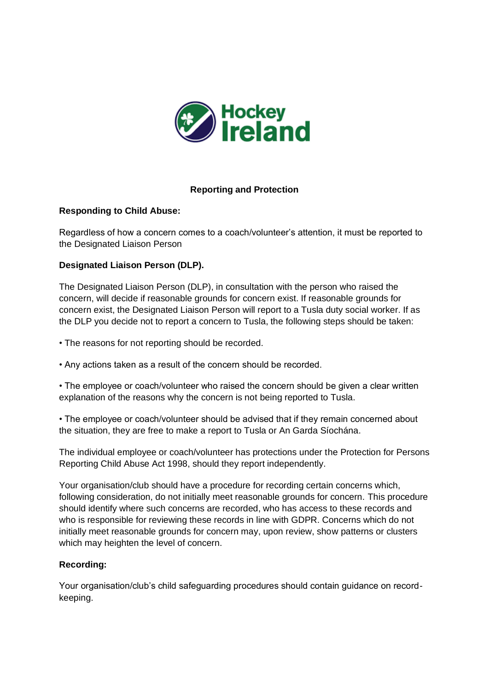

## **Reporting and Protection**

### **Responding to Child Abuse:**

Regardless of how a concern comes to a coach/volunteer's attention, it must be reported to the Designated Liaison Person

### **Designated Liaison Person (DLP).**

The Designated Liaison Person (DLP), in consultation with the person who raised the concern, will decide if reasonable grounds for concern exist. If reasonable grounds for concern exist, the Designated Liaison Person will report to a Tusla duty social worker. If as the DLP you decide not to report a concern to Tusla, the following steps should be taken:

- The reasons for not reporting should be recorded.
- Any actions taken as a result of the concern should be recorded.

• The employee or coach/volunteer who raised the concern should be given a clear written explanation of the reasons why the concern is not being reported to Tusla.

• The employee or coach/volunteer should be advised that if they remain concerned about the situation, they are free to make a report to Tusla or An Garda Síochána.

The individual employee or coach/volunteer has protections under the Protection for Persons Reporting Child Abuse Act 1998, should they report independently.

Your organisation/club should have a procedure for recording certain concerns which, following consideration, do not initially meet reasonable grounds for concern. This procedure should identify where such concerns are recorded, who has access to these records and who is responsible for reviewing these records in line with GDPR. Concerns which do not initially meet reasonable grounds for concern may, upon review, show patterns or clusters which may heighten the level of concern.

### **Recording:**

Your organisation/club's child safeguarding procedures should contain guidance on recordkeeping.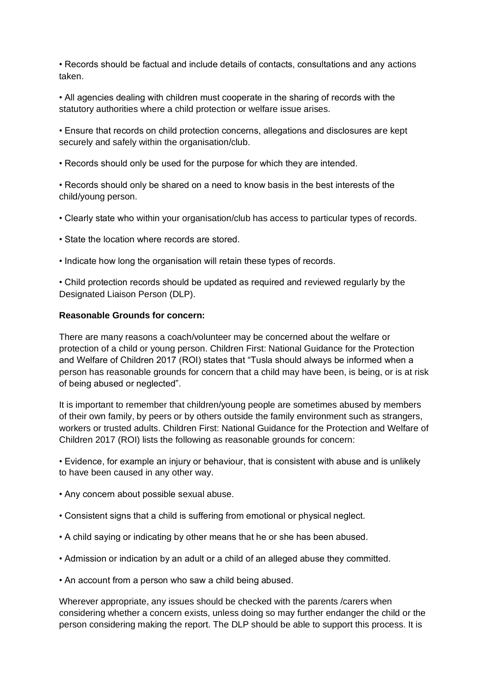• Records should be factual and include details of contacts, consultations and any actions taken.

• All agencies dealing with children must cooperate in the sharing of records with the statutory authorities where a child protection or welfare issue arises.

• Ensure that records on child protection concerns, allegations and disclosures are kept securely and safely within the organisation/club.

• Records should only be used for the purpose for which they are intended.

• Records should only be shared on a need to know basis in the best interests of the child/young person.

- Clearly state who within your organisation/club has access to particular types of records.
- State the location where records are stored.
- Indicate how long the organisation will retain these types of records.

• Child protection records should be updated as required and reviewed regularly by the Designated Liaison Person (DLP).

#### **Reasonable Grounds for concern:**

There are many reasons a coach/volunteer may be concerned about the welfare or protection of a child or young person. Children First: National Guidance for the Protection and Welfare of Children 2017 (ROI) states that "Tusla should always be informed when a person has reasonable grounds for concern that a child may have been, is being, or is at risk of being abused or neglected".

It is important to remember that children/young people are sometimes abused by members of their own family, by peers or by others outside the family environment such as strangers, workers or trusted adults. Children First: National Guidance for the Protection and Welfare of Children 2017 (ROI) lists the following as reasonable grounds for concern:

• Evidence, for example an injury or behaviour, that is consistent with abuse and is unlikely to have been caused in any other way.

- Any concern about possible sexual abuse.
- Consistent signs that a child is suffering from emotional or physical neglect.
- A child saying or indicating by other means that he or she has been abused.
- Admission or indication by an adult or a child of an alleged abuse they committed.

• An account from a person who saw a child being abused.

Wherever appropriate, any issues should be checked with the parents /carers when considering whether a concern exists, unless doing so may further endanger the child or the person considering making the report. The DLP should be able to support this process. It is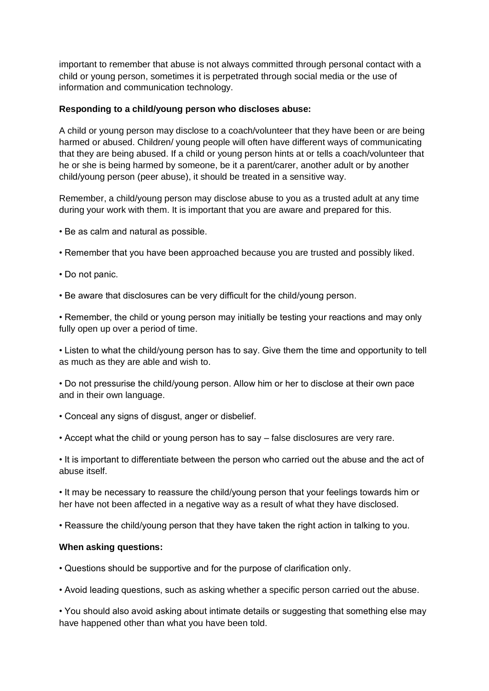important to remember that abuse is not always committed through personal contact with a child or young person, sometimes it is perpetrated through social media or the use of information and communication technology.

### **Responding to a child/young person who discloses abuse:**

A child or young person may disclose to a coach/volunteer that they have been or are being harmed or abused. Children/ young people will often have different ways of communicating that they are being abused. If a child or young person hints at or tells a coach/volunteer that he or she is being harmed by someone, be it a parent/carer, another adult or by another child/young person (peer abuse), it should be treated in a sensitive way.

Remember, a child/young person may disclose abuse to you as a trusted adult at any time during your work with them. It is important that you are aware and prepared for this.

- Be as calm and natural as possible.
- Remember that you have been approached because you are trusted and possibly liked.
- Do not panic.
- Be aware that disclosures can be very difficult for the child/young person.

• Remember, the child or young person may initially be testing your reactions and may only fully open up over a period of time.

• Listen to what the child/young person has to say. Give them the time and opportunity to tell as much as they are able and wish to.

• Do not pressurise the child/young person. Allow him or her to disclose at their own pace and in their own language.

- Conceal any signs of disgust, anger or disbelief.
- Accept what the child or young person has to say false disclosures are very rare.
- It is important to differentiate between the person who carried out the abuse and the act of abuse itself.

• It may be necessary to reassure the child/young person that your feelings towards him or her have not been affected in a negative way as a result of what they have disclosed.

• Reassure the child/young person that they have taken the right action in talking to you.

#### **When asking questions:**

• Questions should be supportive and for the purpose of clarification only.

• Avoid leading questions, such as asking whether a specific person carried out the abuse.

• You should also avoid asking about intimate details or suggesting that something else may have happened other than what you have been told.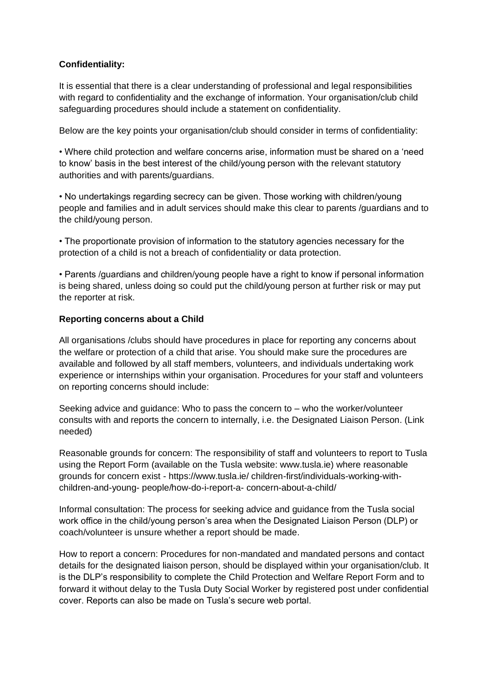# **Confidentiality:**

It is essential that there is a clear understanding of professional and legal responsibilities with regard to confidentiality and the exchange of information. Your organisation/club child safeguarding procedures should include a statement on confidentiality.

Below are the key points your organisation/club should consider in terms of confidentiality:

• Where child protection and welfare concerns arise, information must be shared on a 'need to know' basis in the best interest of the child/young person with the relevant statutory authorities and with parents/guardians.

• No undertakings regarding secrecy can be given. Those working with children/young people and families and in adult services should make this clear to parents /guardians and to the child/young person.

• The proportionate provision of information to the statutory agencies necessary for the protection of a child is not a breach of confidentiality or data protection.

• Parents /guardians and children/young people have a right to know if personal information is being shared, unless doing so could put the child/young person at further risk or may put the reporter at risk.

## **Reporting concerns about a Child**

All organisations /clubs should have procedures in place for reporting any concerns about the welfare or protection of a child that arise. You should make sure the procedures are available and followed by all staff members, volunteers, and individuals undertaking work experience or internships within your organisation. Procedures for your staff and volunteers on reporting concerns should include:

Seeking advice and guidance: Who to pass the concern to – who the worker/volunteer consults with and reports the concern to internally, i.e. the Designated Liaison Person. (Link needed)

Reasonable grounds for concern: The responsibility of staff and volunteers to report to Tusla using the Report Form (available on the Tusla website: www.tusla.ie) where reasonable grounds for concern exist - https://www.tusla.ie/ children-first/individuals-working-withchildren-and-young- people/how-do-i-report-a- concern-about-a-child/

Informal consultation: The process for seeking advice and guidance from the Tusla social work office in the child/young person's area when the Designated Liaison Person (DLP) or coach/volunteer is unsure whether a report should be made.

How to report a concern: Procedures for non-mandated and mandated persons and contact details for the designated liaison person, should be displayed within your organisation/club. It is the DLP's responsibility to complete the Child Protection and Welfare Report Form and to forward it without delay to the Tusla Duty Social Worker by registered post under confidential cover. Reports can also be made on Tusla's secure web portal.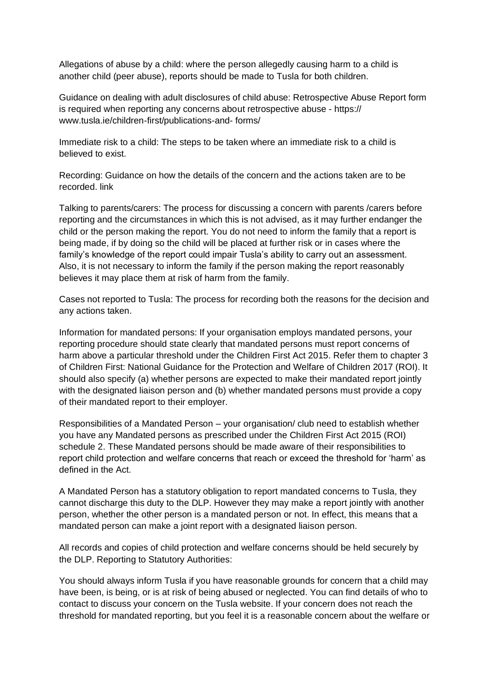Allegations of abuse by a child: where the person allegedly causing harm to a child is another child (peer abuse), reports should be made to Tusla for both children.

Guidance on dealing with adult disclosures of child abuse: Retrospective Abuse Report form is required when reporting any concerns about retrospective abuse - https:// www.tusla.ie/children-first/publications-and- forms/

Immediate risk to a child: The steps to be taken where an immediate risk to a child is believed to exist.

Recording: Guidance on how the details of the concern and the actions taken are to be recorded. link

Talking to parents/carers: The process for discussing a concern with parents /carers before reporting and the circumstances in which this is not advised, as it may further endanger the child or the person making the report. You do not need to inform the family that a report is being made, if by doing so the child will be placed at further risk or in cases where the family's knowledge of the report could impair Tusla's ability to carry out an assessment. Also, it is not necessary to inform the family if the person making the report reasonably believes it may place them at risk of harm from the family.

Cases not reported to Tusla: The process for recording both the reasons for the decision and any actions taken.

Information for mandated persons: If your organisation employs mandated persons, your reporting procedure should state clearly that mandated persons must report concerns of harm above a particular threshold under the Children First Act 2015. Refer them to chapter 3 of Children First: National Guidance for the Protection and Welfare of Children 2017 (ROI). It should also specify (a) whether persons are expected to make their mandated report jointly with the designated liaison person and (b) whether mandated persons must provide a copy of their mandated report to their employer.

Responsibilities of a Mandated Person – your organisation/ club need to establish whether you have any Mandated persons as prescribed under the Children First Act 2015 (ROI) schedule 2. These Mandated persons should be made aware of their responsibilities to report child protection and welfare concerns that reach or exceed the threshold for 'harm' as defined in the Act.

A Mandated Person has a statutory obligation to report mandated concerns to Tusla, they cannot discharge this duty to the DLP. However they may make a report jointly with another person, whether the other person is a mandated person or not. In effect, this means that a mandated person can make a joint report with a designated liaison person.

All records and copies of child protection and welfare concerns should be held securely by the DLP. Reporting to Statutory Authorities:

You should always inform Tusla if you have reasonable grounds for concern that a child may have been, is being, or is at risk of being abused or neglected. You can find details of who to contact to discuss your concern on the Tusla website. If your concern does not reach the threshold for mandated reporting, but you feel it is a reasonable concern about the welfare or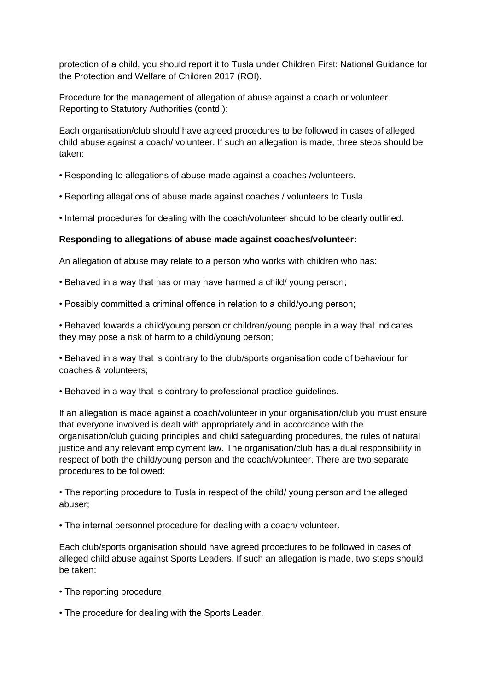protection of a child, you should report it to Tusla under Children First: National Guidance for the Protection and Welfare of Children 2017 (ROI).

Procedure for the management of allegation of abuse against a coach or volunteer. Reporting to Statutory Authorities (contd.):

Each organisation/club should have agreed procedures to be followed in cases of alleged child abuse against a coach/ volunteer. If such an allegation is made, three steps should be taken:

- Responding to allegations of abuse made against a coaches /volunteers.
- Reporting allegations of abuse made against coaches / volunteers to Tusla.
- Internal procedures for dealing with the coach/volunteer should to be clearly outlined.

### **Responding to allegations of abuse made against coaches/volunteer:**

An allegation of abuse may relate to a person who works with children who has:

- Behaved in a way that has or may have harmed a child/ young person;
- Possibly committed a criminal offence in relation to a child/young person;

• Behaved towards a child/young person or children/young people in a way that indicates they may pose a risk of harm to a child/young person;

• Behaved in a way that is contrary to the club/sports organisation code of behaviour for coaches & volunteers;

• Behaved in a way that is contrary to professional practice guidelines.

If an allegation is made against a coach/volunteer in your organisation/club you must ensure that everyone involved is dealt with appropriately and in accordance with the organisation/club guiding principles and child safeguarding procedures, the rules of natural justice and any relevant employment law. The organisation/club has a dual responsibility in respect of both the child/young person and the coach/volunteer. There are two separate procedures to be followed:

• The reporting procedure to Tusla in respect of the child/ young person and the alleged abuser;

• The internal personnel procedure for dealing with a coach/ volunteer.

Each club/sports organisation should have agreed procedures to be followed in cases of alleged child abuse against Sports Leaders. If such an allegation is made, two steps should be taken:

- The reporting procedure.
- The procedure for dealing with the Sports Leader.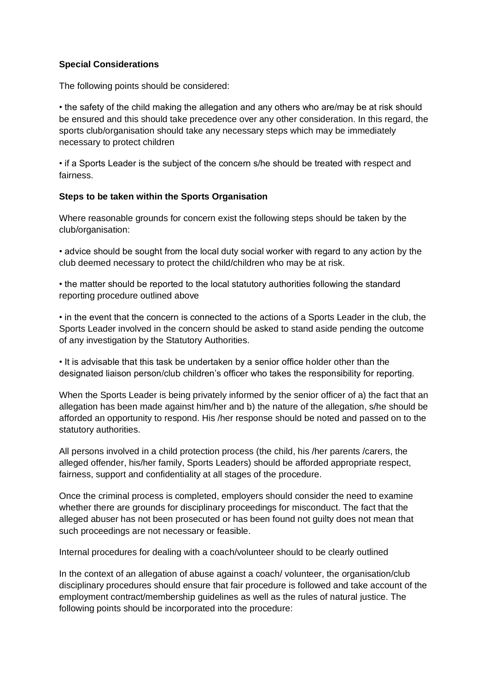## **Special Considerations**

The following points should be considered:

• the safety of the child making the allegation and any others who are/may be at risk should be ensured and this should take precedence over any other consideration. In this regard, the sports club/organisation should take any necessary steps which may be immediately necessary to protect children

• if a Sports Leader is the subject of the concern s/he should be treated with respect and fairness.

### **Steps to be taken within the Sports Organisation**

Where reasonable grounds for concern exist the following steps should be taken by the club/organisation:

• advice should be sought from the local duty social worker with regard to any action by the club deemed necessary to protect the child/children who may be at risk.

• the matter should be reported to the local statutory authorities following the standard reporting procedure outlined above

• in the event that the concern is connected to the actions of a Sports Leader in the club, the Sports Leader involved in the concern should be asked to stand aside pending the outcome of any investigation by the Statutory Authorities.

• It is advisable that this task be undertaken by a senior office holder other than the designated liaison person/club children's officer who takes the responsibility for reporting.

When the Sports Leader is being privately informed by the senior officer of a) the fact that an allegation has been made against him/her and b) the nature of the allegation, s/he should be afforded an opportunity to respond. His /her response should be noted and passed on to the statutory authorities.

All persons involved in a child protection process (the child, his /her parents /carers, the alleged offender, his/her family, Sports Leaders) should be afforded appropriate respect, fairness, support and confidentiality at all stages of the procedure.

Once the criminal process is completed, employers should consider the need to examine whether there are grounds for disciplinary proceedings for misconduct. The fact that the alleged abuser has not been prosecuted or has been found not guilty does not mean that such proceedings are not necessary or feasible.

Internal procedures for dealing with a coach/volunteer should to be clearly outlined

In the context of an allegation of abuse against a coach/ volunteer, the organisation/club disciplinary procedures should ensure that fair procedure is followed and take account of the employment contract/membership guidelines as well as the rules of natural justice. The following points should be incorporated into the procedure: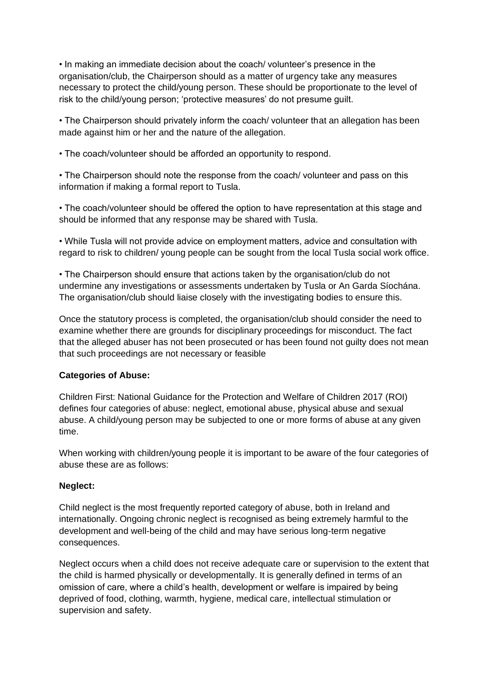• In making an immediate decision about the coach/ volunteer's presence in the organisation/club, the Chairperson should as a matter of urgency take any measures necessary to protect the child/young person. These should be proportionate to the level of risk to the child/young person; 'protective measures' do not presume guilt.

• The Chairperson should privately inform the coach/ volunteer that an allegation has been made against him or her and the nature of the allegation.

• The coach/volunteer should be afforded an opportunity to respond.

• The Chairperson should note the response from the coach/ volunteer and pass on this information if making a formal report to Tusla.

• The coach/volunteer should be offered the option to have representation at this stage and should be informed that any response may be shared with Tusla.

• While Tusla will not provide advice on employment matters, advice and consultation with regard to risk to children/ young people can be sought from the local Tusla social work office.

• The Chairperson should ensure that actions taken by the organisation/club do not undermine any investigations or assessments undertaken by Tusla or An Garda Síochána. The organisation/club should liaise closely with the investigating bodies to ensure this.

Once the statutory process is completed, the organisation/club should consider the need to examine whether there are grounds for disciplinary proceedings for misconduct. The fact that the alleged abuser has not been prosecuted or has been found not guilty does not mean that such proceedings are not necessary or feasible

### **Categories of Abuse:**

Children First: National Guidance for the Protection and Welfare of Children 2017 (ROI) defines four categories of abuse: neglect, emotional abuse, physical abuse and sexual abuse. A child/young person may be subjected to one or more forms of abuse at any given time.

When working with children/young people it is important to be aware of the four categories of abuse these are as follows:

### **Neglect:**

Child neglect is the most frequently reported category of abuse, both in Ireland and internationally. Ongoing chronic neglect is recognised as being extremely harmful to the development and well-being of the child and may have serious long-term negative consequences.

Neglect occurs when a child does not receive adequate care or supervision to the extent that the child is harmed physically or developmentally. It is generally defined in terms of an omission of care, where a child's health, development or welfare is impaired by being deprived of food, clothing, warmth, hygiene, medical care, intellectual stimulation or supervision and safety.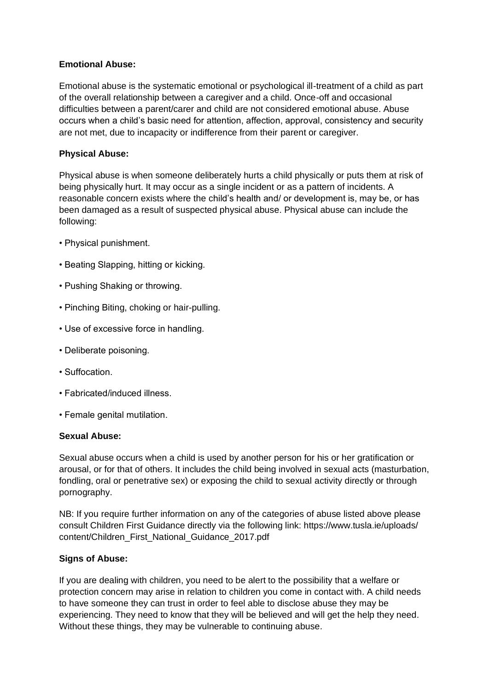## **Emotional Abuse:**

Emotional abuse is the systematic emotional or psychological ill-treatment of a child as part of the overall relationship between a caregiver and a child. Once-off and occasional difficulties between a parent/carer and child are not considered emotional abuse. Abuse occurs when a child's basic need for attention, affection, approval, consistency and security are not met, due to incapacity or indifference from their parent or caregiver.

# **Physical Abuse:**

Physical abuse is when someone deliberately hurts a child physically or puts them at risk of being physically hurt. It may occur as a single incident or as a pattern of incidents. A reasonable concern exists where the child's health and/ or development is, may be, or has been damaged as a result of suspected physical abuse. Physical abuse can include the following:

- Physical punishment.
- Beating Slapping, hitting or kicking.
- Pushing Shaking or throwing.
- Pinching Biting, choking or hair-pulling.
- Use of excessive force in handling.
- Deliberate poisoning.
- Suffocation.
- Fabricated/induced illness.
- Female genital mutilation.

## **Sexual Abuse:**

Sexual abuse occurs when a child is used by another person for his or her gratification or arousal, or for that of others. It includes the child being involved in sexual acts (masturbation, fondling, oral or penetrative sex) or exposing the child to sexual activity directly or through pornography.

NB: If you require further information on any of the categories of abuse listed above please consult Children First Guidance directly via the following link: https://www.tusla.ie/uploads/ content/Children\_First\_National\_Guidance\_2017.pdf

### **Signs of Abuse:**

If you are dealing with children, you need to be alert to the possibility that a welfare or protection concern may arise in relation to children you come in contact with. A child needs to have someone they can trust in order to feel able to disclose abuse they may be experiencing. They need to know that they will be believed and will get the help they need. Without these things, they may be vulnerable to continuing abuse.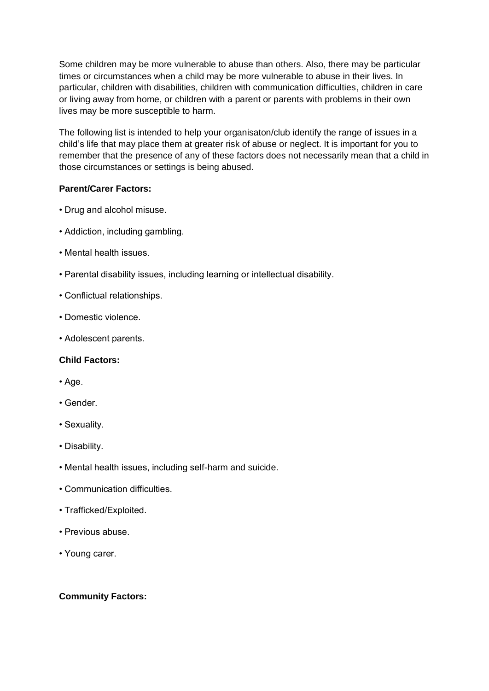Some children may be more vulnerable to abuse than others. Also, there may be particular times or circumstances when a child may be more vulnerable to abuse in their lives. In particular, children with disabilities, children with communication difficulties, children in care or living away from home, or children with a parent or parents with problems in their own lives may be more susceptible to harm.

The following list is intended to help your organisaton/club identify the range of issues in a child's life that may place them at greater risk of abuse or neglect. It is important for you to remember that the presence of any of these factors does not necessarily mean that a child in those circumstances or settings is being abused.

# **Parent/Carer Factors:**

- Drug and alcohol misuse.
- Addiction, including gambling.
- Mental health issues.
- Parental disability issues, including learning or intellectual disability.
- Conflictual relationships.
- Domestic violence.
- Adolescent parents.

### **Child Factors:**

- Age.
- Gender.
- Sexuality.
- Disability.
- Mental health issues, including self-harm and suicide.
- Communication difficulties.
- Trafficked/Exploited.
- Previous abuse.
- Young carer.

### **Community Factors:**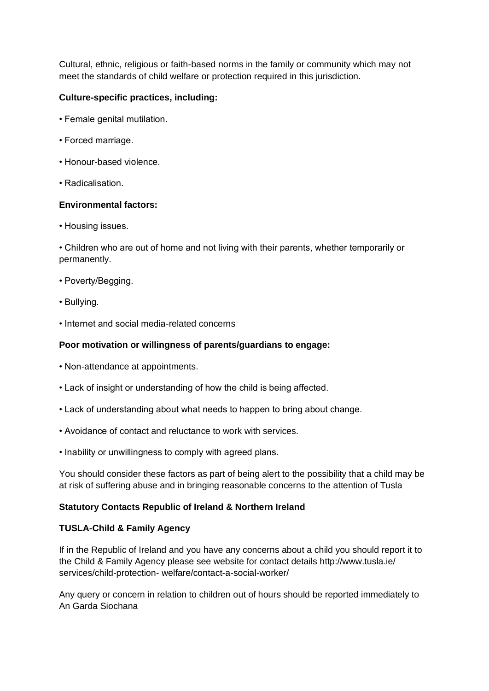Cultural, ethnic, religious or faith-based norms in the family or community which may not meet the standards of child welfare or protection required in this jurisdiction.

# **Culture-specific practices, including:**

- Female genital mutilation.
- Forced marriage.
- Honour-based violence.
- Radicalisation.

### **Environmental factors:**

• Housing issues.

• Children who are out of home and not living with their parents, whether temporarily or permanently.

- Poverty/Begging.
- Bullying.
- Internet and social media-related concerns

## **Poor motivation or willingness of parents/guardians to engage:**

- Non-attendance at appointments.
- Lack of insight or understanding of how the child is being affected.
- Lack of understanding about what needs to happen to bring about change.
- Avoidance of contact and reluctance to work with services.
- Inability or unwillingness to comply with agreed plans.

You should consider these factors as part of being alert to the possibility that a child may be at risk of suffering abuse and in bringing reasonable concerns to the attention of Tusla

### **Statutory Contacts Republic of Ireland & Northern Ireland**

### **TUSLA-Child & Family Agency**

If in the Republic of Ireland and you have any concerns about a child you should report it to the Child & Family Agency please see website for contact details http://www.tusla.ie/ services/child-protection- welfare/contact-a-social-worker/

Any query or concern in relation to children out of hours should be reported immediately to An Garda Siochana